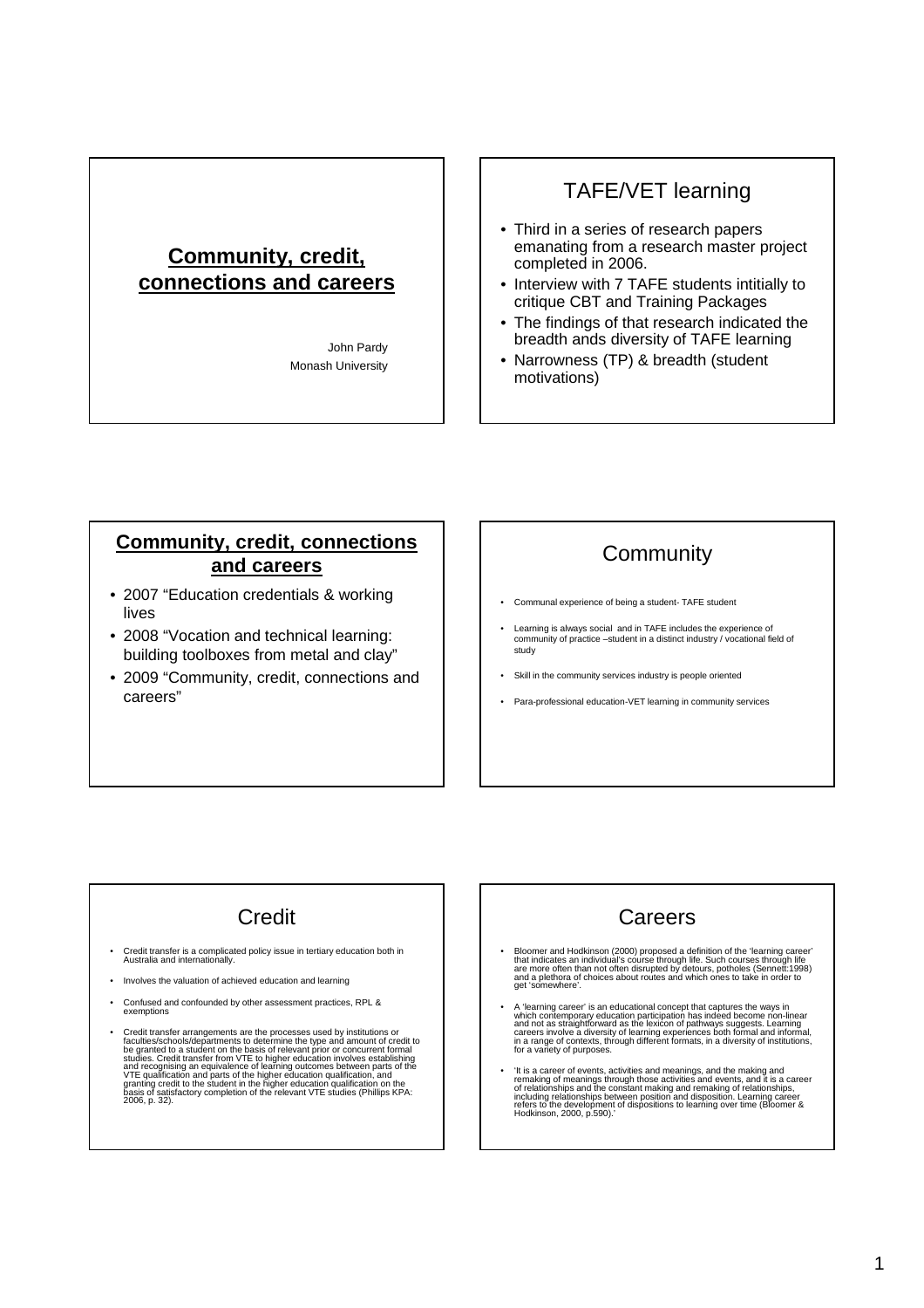# **Community, credit, connections and careers**

John Pardy Monash University

## TAFE/VET learning

- Third in a series of research papers emanating from a research master project completed in 2006.
- Interview with 7 TAFE students intitially to critique CBT and Training Packages
- The findings of that research indicated the breadth ands diversity of TAFE learning
- Narrowness (TP) & breadth (student motivations)

#### **Community, credit, connections and careers**

- 2007 "Education credentials & working lives
- 2008 "Vocation and technical learning: building toolboxes from metal and clay"
- 2009 "Community, credit, connections and careers"

# **Community**

- Communal experience of being a student- TAFE student
- Learning is always social and in TAFE includes the experience of community of practice –student in a distinct industry / vocational field of study
- Skill in the community services industry is people oriented
- Para-professional education-VET learning in community services

# **Credit**

- Credit transfer is a complicated policy issue in tertiary education both in Australia and internationally.
- Involves the valuation of achieved education and learning
- Confused and confounded by other assessment practices, RPL & exemptions
- Credit transfer arrangements are the processes used by institutions or<br>faculties/schools/departments to determine the type and amount of credit to<br>be granted to a student on the basis of relevant prior or concurrent form

# Careers

- Bloomer and Hodkinson (2000) proposed a definition of the 'learning career'<br>that indicates an individual's course through life. Such courses through life<br>are more often than not often disrupted by detours, potholes (Senn
- A 'learning career' is an educational concept that captures the ways in which contemporary education participation has indeed become non-linear and not as straightforward as the lexicon of pathways suggests. Learning car
- It is a career of events, activities and meanings, and the making and remaking of meanings through those activities and events, and it is a career of relationships and the constant making and remaking of relationships, i